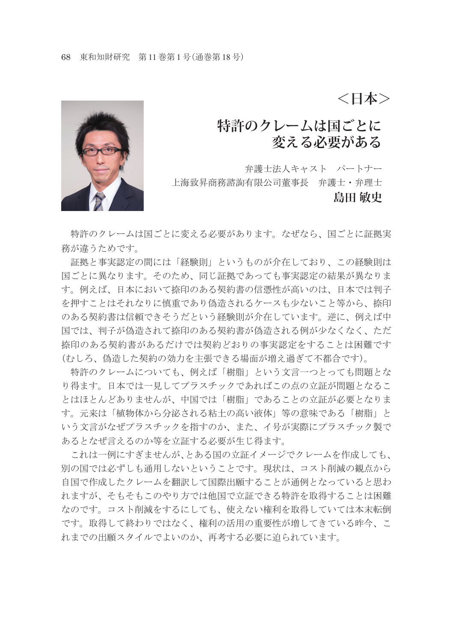**<日本>**

## **特許のクレームは国ごとに 変える必要がある**

弁護士法人キャスト パートナー 上海致昇商務諮詢有限公司董事長 弁護士・弁理士 **島田 敏史**



特許のクレームは国ごとに変える必要があります。なぜなら、国ごとに証拠実 務が違うためです。

 証拠と事実認定の間には「経験則」というものが介在しており、この経験則は 国ごとに異なります。そのため、同じ証拠であっても事実認定の結果が異なりま す。例えば、日本において捺印のある契約書の信憑性が高いのは、日本では判子 を押すことはそれなりに慎重であり偽造されるケースも少ないこと等から、捺印 のある契約書は信頼できそうだという経験則が介在しています。逆に、例えば中 国では、判子が偽造されて捺印のある契約書が偽造される例が少なくなく、ただ 捺印のある契約書があるだけでは契約どおりの事実認定をすることは困難です (むしろ、偽造した契約の効力を主張できる場面が増え過ぎて不都合です)。

 特許のクレームについても、例えば「樹脂」という文言一つとっても問題とな り得ます。日本では一見してプラスチックであればこの点の立証が問題となるこ とはほとんどありませんが、中国では「樹脂」であることの立証が必要となりま す。元来は「植物体から分泌される粘土の高い液体」等の意味である「樹脂」と いう文言がなぜプラスチックを指すのか、また、イ号が実際にプラスチック製で あるとなぜ言えるのか等を立証する必要が生じ得ます。

 これは一例にすぎませんが、とある国の立証イメージでクレームを作成しても、 別の国では必ずしも通用しないということです。現状は、コスト削減の観点から 自国で作成したクレームを翻訳して国際出願することが通例となっていると思わ れますが、そもそもこのやり方では他国で立証できる特許を取得することは困難 なのです。コスト削減をするにしても、使えない権利を取得していては本末転倒 です。取得して終わりではなく、権利の活用の重要性が増してきている昨今、こ れまでの出願スタイルでよいのか、再考する必要に迫られています。